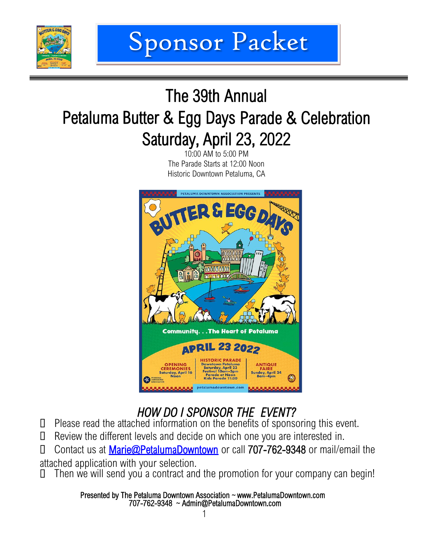

## The 39th Annual Petaluma Butter & Egg Days Parade & Celebration Saturday, April 23, 2022

10:00 AM to 5:00 PM The Parade Starts at 12:00 Noon Historic Downtown Petaluma, CA



### *HOW DO I SPONSOR THE EVENT?*

- Please read the attached information on the benefits of sponsoring this event.
- Review the different levels and decide on which one you are interested in.

 Contact us at [Marie@PetalumaDowntown](mailto:Steven@SRESproductions.com) or call 707-762-9348 or mail/email the attached application with your selection.

 $\Box$  Then we will send you a contract and the promotion for your company can begin!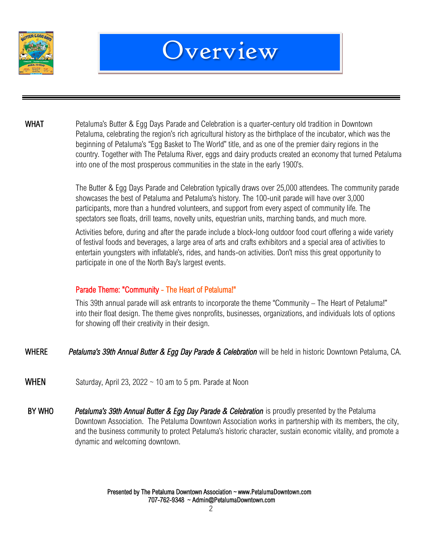



WHAT Petaluma's Butter & Egg Days Parade and Celebration is a quarter-century old tradition in Downtown Petaluma, celebrating the region's rich agricultural history as the birthplace of the incubator, which was the beginning of Petaluma's "Egg Basket to The World" title, and as one of the premier dairy regions in the country. Together with The Petaluma River, eggs and dairy products created an economy that turned Petaluma into one of the most prosperous communities in the state in the early 1900's.

> The Butter & Egg Days Parade and Celebration typically draws over 25,000 attendees. The community parade showcases the best of Petaluma and Petaluma's history. The 100-unit parade will have over 3,000 participants, more than a hundred volunteers, and support from every aspect of community life. The spectators see floats, drill teams, novelty units, equestrian units, marching bands, and much more.

Activities before, during and after the parade include a block-long outdoor food court offering a wide variety of festival foods and beverages, a large area of arts and crafts exhibitors and a special area of activities to entertain youngsters with inflatable's, rides, and hands-on activities. Don't miss this great opportunity to participate in one of the North Bay's largest events.

#### Parade Theme: "Community - The Heart of Petaluma!"

This 39th annual parade will ask entrants to incorporate the theme "Community – The Heart of Petaluma!" into their float design. The theme gives nonprofits, businesses, organizations, and individuals lots of options for showing off their creativity in their design.

- WHERE *Petaluma's 39th Annual Butter & Egg Day Parade & Celebration* will be held in historic Downtown Petaluma, CA.
- **WHEN** Saturday, April 23, 2022  $\sim$  10 am to 5 pm. Parade at Noon
- BY WHO *Petaluma's 39th Annual Butter & Egg Day Parade & Celebration* is proudly presented by the Petaluma Downtown Association. The Petaluma Downtown Association works in partnership with its members, the city, and the business community to protect Petaluma's historic character, sustain economic vitality, and promote a dynamic and welcoming downtown.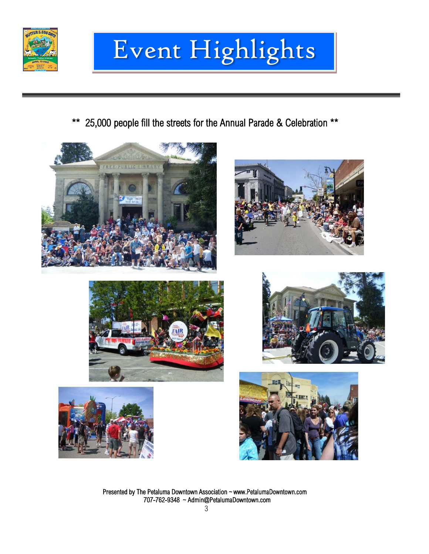

# Event Event Highlights

\*\* 25,000 people fill the streets for the Annual Parade & Celebration \*\*











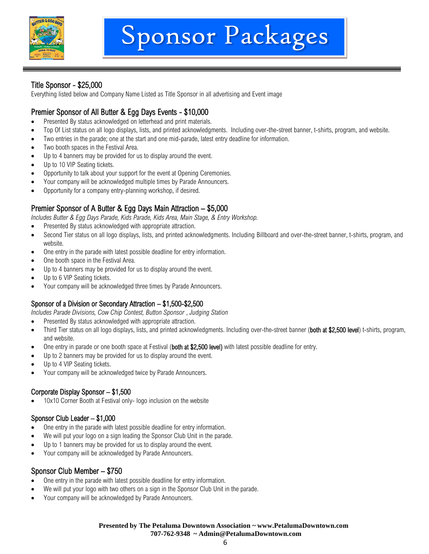

#### Title Sponsor - \$25,000

Everything listed below and Company Name Listed as Title Sponsor in all advertising and Event image

#### Premier Sponsor of All Butter & Egg Days Events - \$10,000

- Presented By status acknowledged on letterhead and print materials.
- Top Of List status on all logo displays, lists, and printed acknowledgments. Including over-the-street banner, t-shirts, program, and website.
- Two entries in the parade; one at the start and one mid-parade, latest entry deadline for information.
- Two booth spaces in the Festival Area.
- Up to 4 banners may be provided for us to display around the event.
- Up to 10 VIP Seating tickets.
- Opportunity to talk about your support for the event at Opening Ceremonies.
- Your company will be acknowledged multiple times by Parade Announcers.
- Opportunity for a company entry-planning workshop, if desired.

#### Premier Sponsor of A Butter & Egg Days Main Attraction – \$5,000

*Includes Butter & Egg Days Parade, Kids Parade, Kids Area, Main Stage, & Entry Workshop.*

- Presented By status acknowledged with appropriate attraction.
- Second Tier status on all logo displays, lists, and printed acknowledgments. Including Billboard and over-the-street banner, t-shirts, program, and website.
- One entry in the parade with latest possible deadline for entry information.
- One booth space in the Festival Area.
- Up to 4 banners may be provided for us to display around the event.
- Up to 6 VIP Seating tickets.
- Your company will be acknowledged three times by Parade Announcers.

#### Sponsor of a Division or Secondary Attraction – \$1,500-\$2,500

*Includes Parade Divisions, Cow Chip Contest, Button Sponsor* , *Judging Station*

- Presented By status acknowledged with appropriate attraction.
- Third Tier status on all logo displays, lists, and printed acknowledgments. Including over-the-street banner (both at \$2,500 level) t-shirts, program, and website.
- One entry in parade or one booth space at Festival (both at \$2,500 level) with latest possible deadline for entry.
- Up to 2 banners may be provided for us to display around the event.
- Up to 4 VIP Seating tickets.
- Your company will be acknowledged twice by Parade Announcers.

#### Corporate Display Sponsor – \$1,500

10x10 Corner Booth at Festival only- logo inclusion on the website

#### Sponsor Club Leader – \$1,000

- One entry in the parade with latest possible deadline for entry information.
- We will put your logo on a sign leading the Sponsor Club Unit in the parade.
- Up to 1 banners may be provided for us to display around the event.
- Your company will be acknowledged by Parade Announcers.

#### Sponsor Club Member – \$750

- One entry in the parade with latest possible deadline for entry information.
- We will put your logo with two others on a sign in the Sponsor Club Unit in the parade.
- Your company will be acknowledged by Parade Announcers.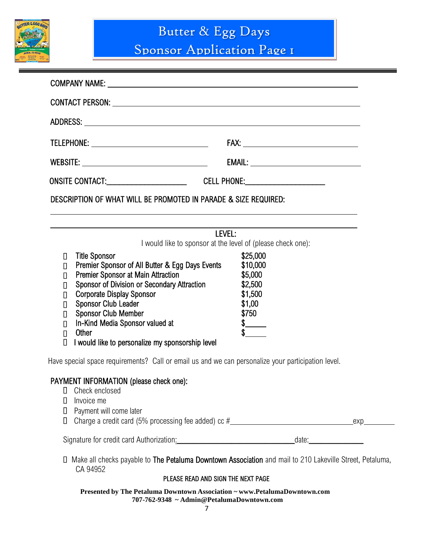

Sponsor Application Page 1

| TELEPHONE: ___________________________________      |                                                                                                                                                                                                                                                                                                                                                                     |                                                                                                              |  |  |
|-----------------------------------------------------|---------------------------------------------------------------------------------------------------------------------------------------------------------------------------------------------------------------------------------------------------------------------------------------------------------------------------------------------------------------------|--------------------------------------------------------------------------------------------------------------|--|--|
|                                                     |                                                                                                                                                                                                                                                                                                                                                                     |                                                                                                              |  |  |
|                                                     |                                                                                                                                                                                                                                                                                                                                                                     |                                                                                                              |  |  |
|                                                     | DESCRIPTION OF WHAT WILL BE PROMOTED IN PARADE & SIZE REQUIRED.                                                                                                                                                                                                                                                                                                     |                                                                                                              |  |  |
|                                                     | LEVEL:<br>I would like to sponsor at the level of (please check one):                                                                                                                                                                                                                                                                                               |                                                                                                              |  |  |
| П<br>О<br>О<br>О<br>О<br>О<br>Π<br>О<br>$\Box$<br>О | <b>Title Sponsor</b><br>Premier Sponsor of All Butter & Egg Days Events<br>Premier Sponsor at Main Attraction<br>Sponsor of Division or Secondary Attraction<br><b>Corporate Display Sponsor</b><br><b>Sponsor Club Leader</b><br><b>Sponsor Club Member</b><br>In-Kind Media Sponsor valued at<br><b>Other</b><br>I would like to personalize my sponsorship level | \$25,000<br>\$10,000<br>\$5,000<br>\$2,500<br>\$1,500<br>\$1,00<br>\$750<br>$\frac{1}{\sqrt[3]{\frac{1}{2}}$ |  |  |
|                                                     | Have special space requirements? Call or email us and we can personalize your participation level.                                                                                                                                                                                                                                                                  |                                                                                                              |  |  |
| Ц<br>Ц<br>О<br>П                                    | PAYMENT INFORMATION (please check one):<br>Check enclosed<br>Invoice me<br>Payment will come later                                                                                                                                                                                                                                                                  |                                                                                                              |  |  |
|                                                     | Signature for credit card Authorization: Manual Communication date: Manual Communication date:                                                                                                                                                                                                                                                                      |                                                                                                              |  |  |
|                                                     | Make all checks payable to The Petaluma Downtown Association and mail to 210 Lakeville Street, Petaluma,<br>CA 94952                                                                                                                                                                                                                                                |                                                                                                              |  |  |

#### PLEASE READ AND SIGN THE NEXT PAGE